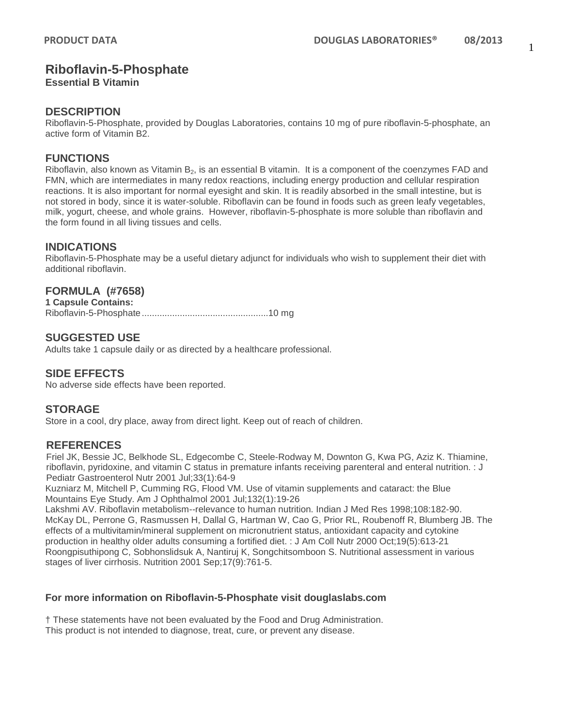# **Riboflavin-5-Phosphate**

**Essential B Vitamin**

### **DESCRIPTION**

Riboflavin-5-Phosphate, provided by Douglas Laboratories, contains 10 mg of pure riboflavin-5-phosphate, an active form of Vitamin B2.

## **FUNCTIONS**

Riboflavin, also known as Vitamin  $B_2$ , is an essential B vitamin. It is a component of the coenzymes FAD and FMN, which are intermediates in many redox reactions, including energy production and cellular respiration reactions. It is also important for normal eyesight and skin. It is readily absorbed in the small intestine, but is not stored in body, since it is water-soluble. Riboflavin can be found in foods such as green leafy vegetables, milk, yogurt, cheese, and whole grains. However, riboflavin-5-phosphate is more soluble than riboflavin and the form found in all living tissues and cells.

## **INDICATIONS**

Riboflavin-5-Phosphate may be a useful dietary adjunct for individuals who wish to supplement their diet with additional riboflavin.

# **FORMULA (#7658)**

**1 Capsule Contains:** Riboflavin-5-Phosphate..................................................10 mg

## **SUGGESTED USE**

Adults take 1 capsule daily or as directed by a healthcare professional.

# **SIDE EFFECTS**

No adverse side effects have been reported.

### **STORAGE**

Store in a cool, dry place, away from direct light. Keep out of reach of children.

### **REFERENCES**

Friel JK, Bessie JC, Belkhode SL, Edgecombe C, Steele-Rodway M, Downton G, Kwa PG, Aziz K. Thiamine, riboflavin, pyridoxine, and vitamin C status in premature infants receiving parenteral and enteral nutrition. : J Pediatr Gastroenterol Nutr 2001 Jul;33(1):64-9

Kuzniarz M, Mitchell P, Cumming RG, Flood VM. Use of vitamin supplements and cataract: the Blue Mountains Eye Study. Am J Ophthalmol 2001 Jul;132(1):19-26

Lakshmi AV. Riboflavin metabolism--relevance to human nutrition. Indian J Med Res 1998;108:182-90. McKay DL, Perrone G, Rasmussen H, Dallal G, Hartman W, Cao G, Prior RL, Roubenoff R, Blumberg JB. The effects of a multivitamin/mineral supplement on micronutrient status, antioxidant capacity and cytokine production in healthy older adults consuming a fortified diet. : J Am Coll Nutr 2000 Oct;19(5):613-21 Roongpisuthipong C, Sobhonslidsuk A, Nantiruj K, Songchitsomboon S. Nutritional assessment in various stages of liver cirrhosis. Nutrition 2001 Sep;17(9):761-5.

### **For more information on Riboflavin-5-Phosphate visit douglaslabs.com**

† These statements have not been evaluated by the Food and Drug Administration. This product is not intended to diagnose, treat, cure, or prevent any disease.